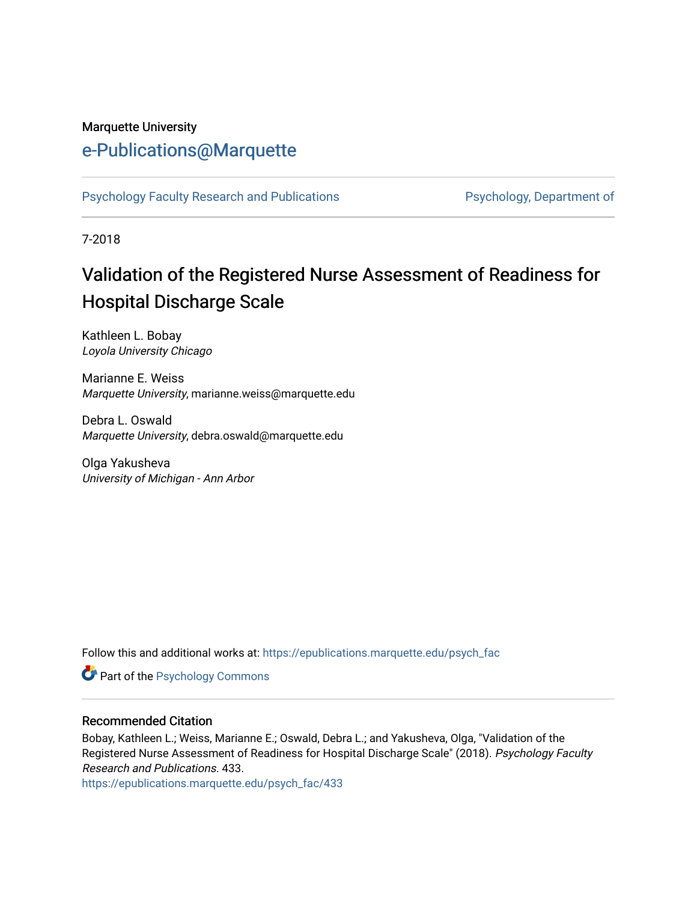#### Marquette University

## [e-Publications@Marquette](https://epublications.marquette.edu/)

[Psychology Faculty Research and Publications](https://epublications.marquette.edu/psych_fac) **Properties Psychology, Department of** 

7-2018

# Validation of the Registered Nurse Assessment of Readiness for Hospital Discharge Scale

Kathleen L. Bobay Loyola University Chicago

Marianne E. Weiss Marquette University, marianne.weiss@marquette.edu

Debra L. Oswald Marquette University, debra.oswald@marquette.edu

Olga Yakusheva University of Michigan - Ann Arbor

Follow this and additional works at: [https://epublications.marquette.edu/psych\\_fac](https://epublications.marquette.edu/psych_fac?utm_source=epublications.marquette.edu%2Fpsych_fac%2F433&utm_medium=PDF&utm_campaign=PDFCoverPages)

**Part of the Psychology Commons** 

#### Recommended Citation

Bobay, Kathleen L.; Weiss, Marianne E.; Oswald, Debra L.; and Yakusheva, Olga, "Validation of the Registered Nurse Assessment of Readiness for Hospital Discharge Scale" (2018). Psychology Faculty Research and Publications. 433.

[https://epublications.marquette.edu/psych\\_fac/433](https://epublications.marquette.edu/psych_fac/433?utm_source=epublications.marquette.edu%2Fpsych_fac%2F433&utm_medium=PDF&utm_campaign=PDFCoverPages)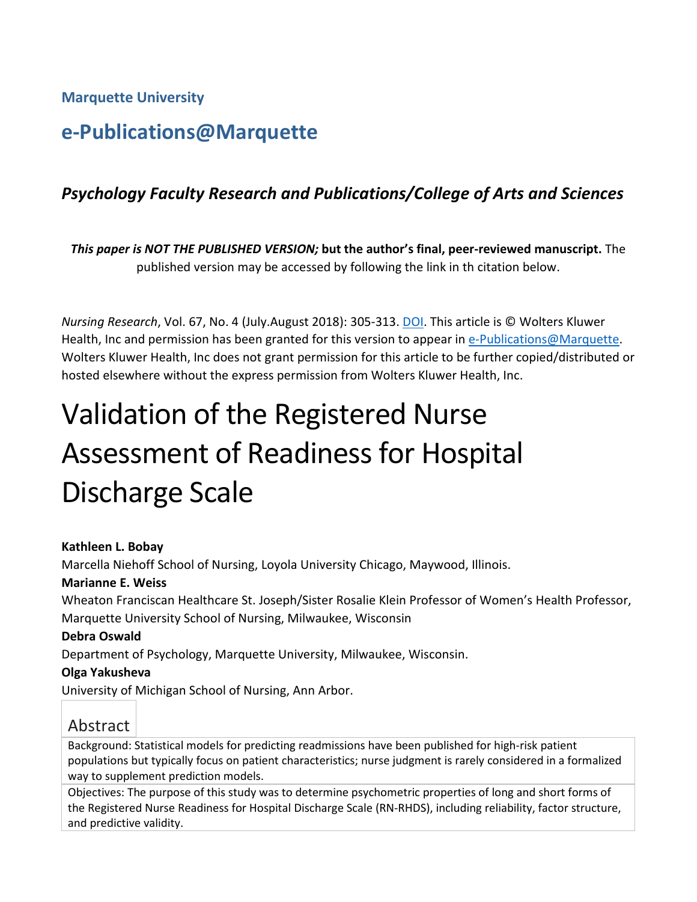**Marquette University**

## **e-Publications@Marquette**

## *Psychology Faculty Research and Publications/College of Arts and Sciences*

*This paper is NOT THE PUBLISHED VERSION;* **but the author's final, peer-reviewed manuscript.** The published version may be accessed by following the link in th citation below.

*Nursing Research*, Vol. 67, No. 4 (July.August 2018): 305-313. [DOI.](http://dx.doi.org/10.1097/NNR.0000000000000293) This article is © Wolters Kluwer Health, Inc and permission has been granted for this version to appear i[n e-Publications@Marquette.](http://epublications.marquette.edu/) Wolters Kluwer Health, Inc does not grant permission for this article to be further copied/distributed or hosted elsewhere without the express permission from Wolters Kluwer Health, Inc.

# Validation of the Registered Nurse Assessment of Readiness for Hospital Discharge Scale

#### **Kathleen L. Bobay**

Marcella Niehoff School of Nursing, Loyola University Chicago, Maywood, Illinois.

#### **Marianne E. Weiss**

Wheaton Franciscan Healthcare St. Joseph/Sister Rosalie Klein Professor of Women's Health Professor, Marquette University School of Nursing, Milwaukee, Wisconsin

#### **Debra Oswald**

Department of Psychology, Marquette University, Milwaukee, Wisconsin.

#### **Olga Yakusheva**

University of Michigan School of Nursing, Ann Arbor.

## Abstract

Background: Statistical models for predicting readmissions have been published for high-risk patient populations but typically focus on patient characteristics; nurse judgment is rarely considered in a formalized way to supplement prediction models.

Objectives: The purpose of this study was to determine psychometric properties of long and short forms of the Registered Nurse Readiness for Hospital Discharge Scale (RN-RHDS), including reliability, factor structure, and predictive validity.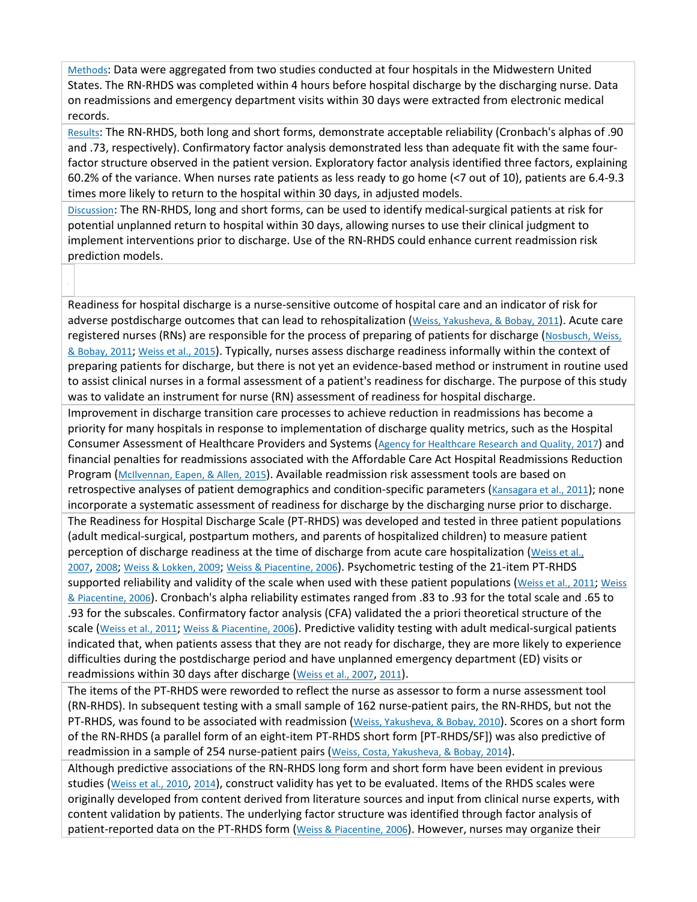[Methods:](http://0-ovidsp.dc2.ovid.com.libus.csd.mu.edu/sp-4.02.1a/ovidweb.cgi?&S=FJHIFPLBKHEBDHHCIPCKEFEHFFGPAA00&Link+Set=S.sh.22.23.28.32%7c6%7csl_10&Counter5=TOC_article%7c00006199-201807000-00006%7cyrovft%7covftdb%7cyrovftt#30) Data were aggregated from two studies conducted at four hospitals in the Midwestern United States. The RN-RHDS was completed within 4 hours before hospital discharge by the discharging nurse. Data on readmissions and emergency department visits within 30 days were extracted from electronic medical records.

[Results:](http://0-ovidsp.dc2.ovid.com.libus.csd.mu.edu/sp-4.02.1a/ovidweb.cgi?&S=FJHIFPLBKHEBDHHCIPCKEFEHFFGPAA00&Link+Set=S.sh.22.23.28.32%7c6%7csl_10&Counter5=TOC_article%7c00006199-201807000-00006%7cyrovft%7covftdb%7cyrovftt#59) The RN-RHDS, both long and short forms, demonstrate acceptable reliability (Cronbach's alphas of .90 and .73, respectively). Confirmatory factor analysis demonstrated less than adequate fit with the same fourfactor structure observed in the patient version. Exploratory factor analysis identified three factors, explaining 60.2% of the variance. When nurses rate patients as less ready to go home (<7 out of 10), patients are 6.4-9.3 times more likely to return to the hospital within 30 days, in adjusted models.

[Discussion:](http://0-ovidsp.dc2.ovid.com.libus.csd.mu.edu/sp-4.02.1a/ovidweb.cgi?&S=FJHIFPLBKHEBDHHCIPCKEFEHFFGPAA00&Link+Set=S.sh.22.23.28.32%7c6%7csl_10&Counter5=TOC_article%7c00006199-201807000-00006%7cyrovft%7covftdb%7cyrovftt#79) The RN-RHDS, long and short forms, can be used to identify medical-surgical patients at risk for potential unplanned return to hospital within 30 days, allowing nurses to use their clinical judgment to implement interventions prior to discharge. Use of the RN-RHDS could enhance current readmission risk prediction models.

Readiness for hospital discharge is a nurse-sensitive outcome of hospital care and an indicator of risk for adverse postdischarge outcomes that can lead to rehospitalization [\(Weiss, Yakusheva, & Bobay, 2011\)](http://0-ovidsp.dc2.ovid.com.libus.csd.mu.edu/sp-4.02.1a/ovidweb.cgi?&S=FJHIFPLBKHEBDHHCIPCKEFEHFFGPAA00&Link+Set=S.sh.22.23.28.32%7c6%7csl_10&Counter5=TOC_article%7c00006199-201807000-00006%7cyrovft%7covftdb%7cyrovftt#116). Acute care registered nurses (RNs) are responsible for the process of preparing of patients for discharge [\(Nosbusch, Weiss,](http://0-ovidsp.dc2.ovid.com.libus.csd.mu.edu/sp-4.02.1a/ovidweb.cgi?&S=FJHIFPLBKHEBDHHCIPCKEFEHFFGPAA00&Link+Set=S.sh.22.23.28.32%7c6%7csl_10&Counter5=TOC_article%7c00006199-201807000-00006%7cyrovft%7covftdb%7cyrovftt#105)  [& Bobay, 2011;](http://0-ovidsp.dc2.ovid.com.libus.csd.mu.edu/sp-4.02.1a/ovidweb.cgi?&S=FJHIFPLBKHEBDHHCIPCKEFEHFFGPAA00&Link+Set=S.sh.22.23.28.32%7c6%7csl_10&Counter5=TOC_article%7c00006199-201807000-00006%7cyrovft%7covftdb%7cyrovftt#105) [Weiss et al., 2015\)](http://0-ovidsp.dc2.ovid.com.libus.csd.mu.edu/sp-4.02.1a/ovidweb.cgi?&S=FJHIFPLBKHEBDHHCIPCKEFEHFFGPAA00&Link+Set=S.sh.22.23.28.32%7c6%7csl_10&Counter5=TOC_article%7c00006199-201807000-00006%7cyrovft%7covftdb%7cyrovftt#109). Typically, nurses assess discharge readiness informally within the context of preparing patients for discharge, but there is not yet an evidence-based method or instrument in routine used to assist clinical nurses in a formal assessment of a patient's readiness for discharge. The purpose of this study was to validate an instrument for nurse (RN) assessment of readiness for hospital discharge.

Improvement in discharge transition care processes to achieve reduction in readmissions has become a priority for many hospitals in response to implementation of discharge quality metrics, such as the Hospital Consumer Assessment of Healthcare Providers and Systems [\(Agency for Healthcare Research and Quality, 2017\)](http://0-ovidsp.dc2.ovid.com.libus.csd.mu.edu/sp-4.02.1a/ovidweb.cgi?&S=FJHIFPLBKHEBDHHCIPCKEFEHFFGPAA00&Link+Set=S.sh.22.23.28.32%7c6%7csl_10&Counter5=TOC_article%7c00006199-201807000-00006%7cyrovft%7covftdb%7cyrovftt#91) and financial penalties for readmissions associated with the Affordable Care Act Hospital Readmissions Reduction Program [\(McIlvennan, Eapen, & Allen, 2015\)](http://0-ovidsp.dc2.ovid.com.libus.csd.mu.edu/sp-4.02.1a/ovidweb.cgi?&S=FJHIFPLBKHEBDHHCIPCKEFEHFFGPAA00&Link+Set=S.sh.22.23.28.32%7c6%7csl_10&Counter5=TOC_article%7c00006199-201807000-00006%7cyrovft%7covftdb%7cyrovftt#102). Available readmission risk assessment tools are based on retrospective analyses of patient demographics and condition-specific parameters [\(Kansagara et al., 2011\)](http://0-ovidsp.dc2.ovid.com.libus.csd.mu.edu/sp-4.02.1a/ovidweb.cgi?&S=FJHIFPLBKHEBDHHCIPCKEFEHFFGPAA00&Link+Set=S.sh.22.23.28.32%7c6%7csl_10&Counter5=TOC_article%7c00006199-201807000-00006%7cyrovft%7covftdb%7cyrovftt#98); none incorporate a systematic assessment of readiness for discharge by the discharging nurse prior to discharge. The Readiness for Hospital Discharge Scale (PT-RHDS) was developed and tested in three patient populations (adult medical-surgical, postpartum mothers, and parents of hospitalized children) to measure patient perception of discharge readiness at the time of discharge from acute care hospitalization [\(Weiss et al.,](http://0-ovidsp.dc2.ovid.com.libus.csd.mu.edu/sp-4.02.1a/ovidweb.cgi?&S=FJHIFPLBKHEBDHHCIPCKEFEHFFGPAA00&Link+Set=S.sh.22.23.28.32%7c6%7csl_10&Counter5=TOC_article%7c00006199-201807000-00006%7cyrovft%7covftdb%7cyrovftt#114)  [2007,](http://0-ovidsp.dc2.ovid.com.libus.csd.mu.edu/sp-4.02.1a/ovidweb.cgi?&S=FJHIFPLBKHEBDHHCIPCKEFEHFFGPAA00&Link+Set=S.sh.22.23.28.32%7c6%7csl_10&Counter5=TOC_article%7c00006199-201807000-00006%7cyrovft%7covftdb%7cyrovftt#114) [2008;](http://0-ovidsp.dc2.ovid.com.libus.csd.mu.edu/sp-4.02.1a/ovidweb.cgi?&S=FJHIFPLBKHEBDHHCIPCKEFEHFFGPAA00&Link+Set=S.sh.22.23.28.32%7c6%7csl_10&Counter5=TOC_article%7c00006199-201807000-00006%7cyrovft%7covftdb%7cyrovftt#112) [Weiss & Lokken, 2009;](http://0-ovidsp.dc2.ovid.com.libus.csd.mu.edu/sp-4.02.1a/ovidweb.cgi?&S=FJHIFPLBKHEBDHHCIPCKEFEHFFGPAA00&Link+Set=S.sh.22.23.28.32%7c6%7csl_10&Counter5=TOC_article%7c00006199-201807000-00006%7cyrovft%7covftdb%7cyrovftt#111) [Weiss & Piacentine, 2006\)](http://0-ovidsp.dc2.ovid.com.libus.csd.mu.edu/sp-4.02.1a/ovidweb.cgi?&S=FJHIFPLBKHEBDHHCIPCKEFEHFFGPAA00&Link+Set=S.sh.22.23.28.32%7c6%7csl_10&Counter5=TOC_article%7c00006199-201807000-00006%7cyrovft%7covftdb%7cyrovftt#113). Psychometric testing of the 21-item PT-RHDS supported reliability and validity of the scale when used with these patient populations [\(Weiss et al., 2011;](http://0-ovidsp.dc2.ovid.com.libus.csd.mu.edu/sp-4.02.1a/ovidweb.cgi?&S=FJHIFPLBKHEBDHHCIPCKEFEHFFGPAA00&Link+Set=S.sh.22.23.28.32%7c6%7csl_10&Counter5=TOC_article%7c00006199-201807000-00006%7cyrovft%7covftdb%7cyrovftt#116) Weiss [& Piacentine, 2006\)](http://0-ovidsp.dc2.ovid.com.libus.csd.mu.edu/sp-4.02.1a/ovidweb.cgi?&S=FJHIFPLBKHEBDHHCIPCKEFEHFFGPAA00&Link+Set=S.sh.22.23.28.32%7c6%7csl_10&Counter5=TOC_article%7c00006199-201807000-00006%7cyrovft%7covftdb%7cyrovftt#113). Cronbach's alpha reliability estimates ranged from .83 to .93 for the total scale and .65 to .93 for the subscales. Confirmatory factor analysis (CFA) validated the a priori theoretical structure of the scale [\(Weiss et al., 2011;](http://0-ovidsp.dc2.ovid.com.libus.csd.mu.edu/sp-4.02.1a/ovidweb.cgi?&S=FJHIFPLBKHEBDHHCIPCKEFEHFFGPAA00&Link+Set=S.sh.22.23.28.32%7c6%7csl_10&Counter5=TOC_article%7c00006199-201807000-00006%7cyrovft%7covftdb%7cyrovftt#116) [Weiss & Piacentine, 2006\)](http://0-ovidsp.dc2.ovid.com.libus.csd.mu.edu/sp-4.02.1a/ovidweb.cgi?&S=FJHIFPLBKHEBDHHCIPCKEFEHFFGPAA00&Link+Set=S.sh.22.23.28.32%7c6%7csl_10&Counter5=TOC_article%7c00006199-201807000-00006%7cyrovft%7covftdb%7cyrovftt#113). Predictive validity testing with adult medical-surgical patients indicated that, when patients assess that they are not ready for discharge, they are more likely to experience difficulties during the postdischarge period and have unplanned emergency department (ED) visits or readmissions within 30 days after discharge [\(Weiss et al., 2007,](http://0-ovidsp.dc2.ovid.com.libus.csd.mu.edu/sp-4.02.1a/ovidweb.cgi?&S=FJHIFPLBKHEBDHHCIPCKEFEHFFGPAA00&Link+Set=S.sh.22.23.28.32%7c6%7csl_10&Counter5=TOC_article%7c00006199-201807000-00006%7cyrovft%7covftdb%7cyrovftt#114) [2011\)](http://0-ovidsp.dc2.ovid.com.libus.csd.mu.edu/sp-4.02.1a/ovidweb.cgi?&S=FJHIFPLBKHEBDHHCIPCKEFEHFFGPAA00&Link+Set=S.sh.22.23.28.32%7c6%7csl_10&Counter5=TOC_article%7c00006199-201807000-00006%7cyrovft%7covftdb%7cyrovftt#116).

The items of the PT-RHDS were reworded to reflect the nurse as assessor to form a nurse assessment tool (RN-RHDS). In subsequent testing with a small sample of 162 nurse-patient pairs, the RN-RHDS, but not the PT-RHDS, was found to be associated with readmission [\(Weiss, Yakusheva, & Bobay, 2010\)](http://0-ovidsp.dc2.ovid.com.libus.csd.mu.edu/sp-4.02.1a/ovidweb.cgi?&S=FJHIFPLBKHEBDHHCIPCKEFEHFFGPAA00&Link+Set=S.sh.22.23.28.32%7c6%7csl_10&Counter5=TOC_article%7c00006199-201807000-00006%7cyrovft%7covftdb%7cyrovftt#115). Scores on a short form of the RN-RHDS (a parallel form of an eight-item PT-RHDS short form [PT-RHDS/SF]) was also predictive of readmission in a sample of 254 nurse-patient pairs [\(Weiss, Costa, Yakusheva, & Bobay, 2014\)](http://0-ovidsp.dc2.ovid.com.libus.csd.mu.edu/sp-4.02.1a/ovidweb.cgi?&S=FJHIFPLBKHEBDHHCIPCKEFEHFFGPAA00&Link+Set=S.sh.22.23.28.32%7c6%7csl_10&Counter5=TOC_article%7c00006199-201807000-00006%7cyrovft%7covftdb%7cyrovftt#110).

Although predictive associations of the RN-RHDS long form and short form have been evident in previous studies [\(Weiss et al., 2010,](http://0-ovidsp.dc2.ovid.com.libus.csd.mu.edu/sp-4.02.1a/ovidweb.cgi?&S=FJHIFPLBKHEBDHHCIPCKEFEHFFGPAA00&Link+Set=S.sh.22.23.28.32%7c6%7csl_10&Counter5=TOC_article%7c00006199-201807000-00006%7cyrovft%7covftdb%7cyrovftt#115) [2014\)](http://0-ovidsp.dc2.ovid.com.libus.csd.mu.edu/sp-4.02.1a/ovidweb.cgi?&S=FJHIFPLBKHEBDHHCIPCKEFEHFFGPAA00&Link+Set=S.sh.22.23.28.32%7c6%7csl_10&Counter5=TOC_article%7c00006199-201807000-00006%7cyrovft%7covftdb%7cyrovftt#110), construct validity has yet to be evaluated. Items of the RHDS scales were originally developed from content derived from literature sources and input from clinical nurse experts, with content validation by patients. The underlying factor structure was identified through factor analysis of patient-reported data on the PT-RHDS form (*Weiss & Piacentine, 2006*). However, nurses may organize their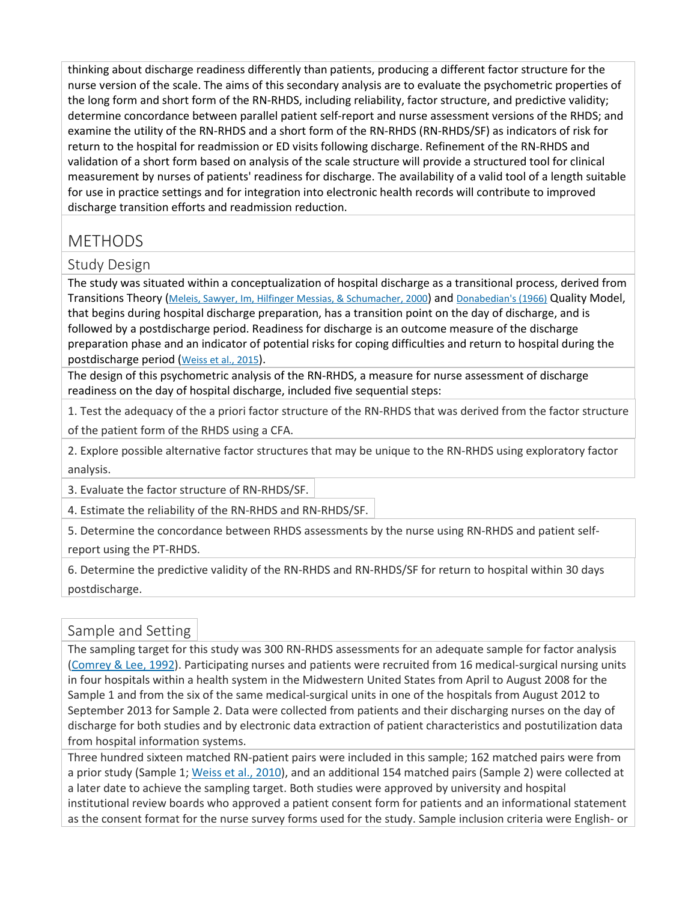thinking about discharge readiness differently than patients, producing a different factor structure for the nurse version of the scale. The aims of this secondary analysis are to evaluate the psychometric properties of the long form and short form of the RN-RHDS, including reliability, factor structure, and predictive validity; determine concordance between parallel patient self-report and nurse assessment versions of the RHDS; and examine the utility of the RN-RHDS and a short form of the RN-RHDS (RN-RHDS/SF) as indicators of risk for return to the hospital for readmission or ED visits following discharge. Refinement of the RN-RHDS and validation of a short form based on analysis of the scale structure will provide a structured tool for clinical measurement by nurses of patients' readiness for discharge. The availability of a valid tool of a length suitable for use in practice settings and for integration into electronic health records will contribute to improved discharge transition efforts and readmission reduction.

## METHODS

#### Study Design

The study was situated within a conceptualization of hospital discharge as a transitional process, derived from Transitions Theory [\(Meleis, Sawyer, Im, Hilfinger Messias, & Schumacher, 2000\)](http://0-ovidsp.dc2.ovid.com.libus.csd.mu.edu/sp-4.02.1a/ovidweb.cgi?&S=FJHIFPLBKHEBDHHCIPCKEFEHFFGPAA00&Link+Set=S.sh.22.23.28.32%7c6%7csl_10&Counter5=TOC_article%7c00006199-201807000-00006%7cyrovft%7covftdb%7cyrovftt#103) and [Donabedian's \(1966\)](http://0-ovidsp.dc2.ovid.com.libus.csd.mu.edu/sp-4.02.1a/ovidweb.cgi?&S=FJHIFPLBKHEBDHHCIPCKEFEHFFGPAA00&Link+Set=S.sh.22.23.28.32%7c6%7csl_10&Counter5=TOC_article%7c00006199-201807000-00006%7cyrovft%7covftdb%7cyrovftt#95) Quality Model, that begins during hospital discharge preparation, has a transition point on the day of discharge, and is followed by a postdischarge period. Readiness for discharge is an outcome measure of the discharge preparation phase and an indicator of potential risks for coping difficulties and return to hospital during the postdischarge period [\(Weiss et al., 2015\)](http://0-ovidsp.dc2.ovid.com.libus.csd.mu.edu/sp-4.02.1a/ovidweb.cgi?&S=FJHIFPLBKHEBDHHCIPCKEFEHFFGPAA00&Link+Set=S.sh.22.23.28.32%7c6%7csl_10&Counter5=TOC_article%7c00006199-201807000-00006%7cyrovft%7covftdb%7cyrovftt#109).

The design of this psychometric analysis of the RN-RHDS, a measure for nurse assessment of discharge readiness on the day of hospital discharge, included five sequential steps:

1. Test the adequacy of the a priori factor structure of the RN-RHDS that was derived from the factor structure

of the patient form of the RHDS using a CFA.

2. Explore possible alternative factor structures that may be unique to the RN-RHDS using exploratory factor analysis.

3. Evaluate the factor structure of RN-RHDS/SF.

4. Estimate the reliability of the RN-RHDS and RN-RHDS/SF.

5. Determine the concordance between RHDS assessments by the nurse using RN-RHDS and patient selfreport using the PT-RHDS.

6. Determine the predictive validity of the RN-RHDS and RN-RHDS/SF for return to hospital within 30 days postdischarge.

#### Sample and Setting

The sampling target for this study was 300 RN-RHDS assessments for an adequate sample for factor analysis [\(Comrey & Lee, 1992\)](http://0-ovidsp.dc2.ovid.com.libus.csd.mu.edu/sp-4.02.1a/ovidweb.cgi?&S=FJHIFPLBKHEBDHHCIPCKEFEHFFGPAA00&Link+Set=S.sh.22.23.28.32%7c6%7csl_10&Counter5=TOC_article%7c00006199-201807000-00006%7cyrovft%7covftdb%7cyrovftt#94). Participating nurses and patients were recruited from 16 medical-surgical nursing units in four hospitals within a health system in the Midwestern United States from April to August 2008 for the Sample 1 and from the six of the same medical-surgical units in one of the hospitals from August 2012 to September 2013 for Sample 2. Data were collected from patients and their discharging nurses on the day of discharge for both studies and by electronic data extraction of patient characteristics and postutilization data from hospital information systems.

Three hundred sixteen matched RN-patient pairs were included in this sample; 162 matched pairs were from a prior study (Sample 1; [Weiss et al., 2010\)](http://0-ovidsp.dc2.ovid.com.libus.csd.mu.edu/sp-4.02.1a/ovidweb.cgi?&S=FJHIFPLBKHEBDHHCIPCKEFEHFFGPAA00&Link+Set=S.sh.22.23.28.32%7c6%7csl_10&Counter5=TOC_article%7c00006199-201807000-00006%7cyrovft%7covftdb%7cyrovftt#115), and an additional 154 matched pairs (Sample 2) were collected at a later date to achieve the sampling target. Both studies were approved by university and hospital institutional review boards who approved a patient consent form for patients and an informational statement as the consent format for the nurse survey forms used for the study. Sample inclusion criteria were English- or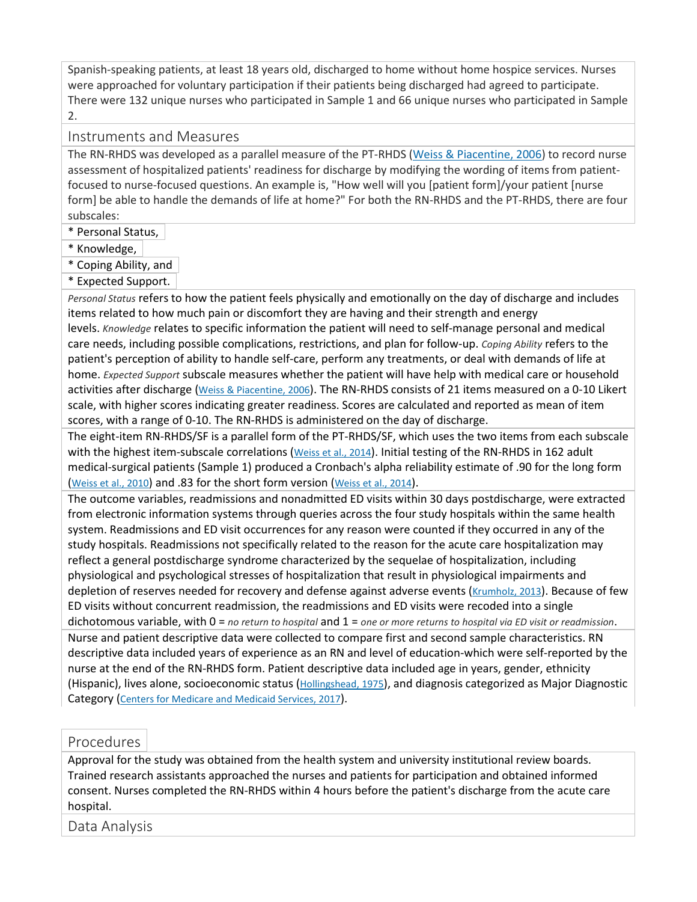Spanish-speaking patients, at least 18 years old, discharged to home without home hospice services. Nurses were approached for voluntary participation if their patients being discharged had agreed to participate. There were 132 unique nurses who participated in Sample 1 and 66 unique nurses who participated in Sample 2.

#### Instruments and Measures

The RN-RHDS was developed as a parallel measure of the PT-RHDS [\(Weiss & Piacentine, 2006\)](http://0-ovidsp.dc2.ovid.com.libus.csd.mu.edu/sp-4.02.1a/ovidweb.cgi?&S=FJHIFPLBKHEBDHHCIPCKEFEHFFGPAA00&Link+Set=S.sh.22.23.28.32%7c6%7csl_10&Counter5=TOC_article%7c00006199-201807000-00006%7cyrovft%7covftdb%7cyrovftt#113) to record nurse assessment of hospitalized patients' readiness for discharge by modifying the wording of items from patientfocused to nurse-focused questions. An example is, "How well will you [patient form]/your patient [nurse form] be able to handle the demands of life at home?" For both the RN-RHDS and the PT-RHDS, there are four subscales:

\* Personal Status,

\* Knowledge,

\* Coping Ability, and

\* Expected Support.

*Personal Status* refers to how the patient feels physically and emotionally on the day of discharge and includes items related to how much pain or discomfort they are having and their strength and energy levels. *Knowledge* relates to specific information the patient will need to self-manage personal and medical care needs, including possible complications, restrictions, and plan for follow-up. *Coping Ability* refers to the patient's perception of ability to handle self-care, perform any treatments, or deal with demands of life at home. *Expected Support* subscale measures whether the patient will have help with medical care or household activities after discharge [\(Weiss & Piacentine, 2006\)](http://0-ovidsp.dc2.ovid.com.libus.csd.mu.edu/sp-4.02.1a/ovidweb.cgi?&S=FJHIFPLBKHEBDHHCIPCKEFEHFFGPAA00&Link+Set=S.sh.22.23.28.32%7c6%7csl_10&Counter5=TOC_article%7c00006199-201807000-00006%7cyrovft%7covftdb%7cyrovftt#113). The RN-RHDS consists of 21 items measured on a 0-10 Likert scale, with higher scores indicating greater readiness. Scores are calculated and reported as mean of item scores, with a range of 0-10. The RN-RHDS is administered on the day of discharge.

The eight-item RN-RHDS/SF is a parallel form of the PT-RHDS/SF, which uses the two items from each subscale with the highest item-subscale correlations [\(Weiss et al., 2014\)](http://0-ovidsp.dc2.ovid.com.libus.csd.mu.edu/sp-4.02.1a/ovidweb.cgi?&S=FJHIFPLBKHEBDHHCIPCKEFEHFFGPAA00&Link+Set=S.sh.22.23.28.32%7c6%7csl_10&Counter5=TOC_article%7c00006199-201807000-00006%7cyrovft%7covftdb%7cyrovftt#110). Initial testing of the RN-RHDS in 162 adult medical-surgical patients (Sample 1) produced a Cronbach's alpha reliability estimate of .90 for the long form [\(Weiss et al., 2010\)](http://0-ovidsp.dc2.ovid.com.libus.csd.mu.edu/sp-4.02.1a/ovidweb.cgi?&S=FJHIFPLBKHEBDHHCIPCKEFEHFFGPAA00&Link+Set=S.sh.22.23.28.32%7c6%7csl_10&Counter5=TOC_article%7c00006199-201807000-00006%7cyrovft%7covftdb%7cyrovftt#115) and .83 for the short form version [\(Weiss et al., 2014\)](http://0-ovidsp.dc2.ovid.com.libus.csd.mu.edu/sp-4.02.1a/ovidweb.cgi?&S=FJHIFPLBKHEBDHHCIPCKEFEHFFGPAA00&Link+Set=S.sh.22.23.28.32%7c6%7csl_10&Counter5=TOC_article%7c00006199-201807000-00006%7cyrovft%7covftdb%7cyrovftt#110).

The outcome variables, readmissions and nonadmitted ED visits within 30 days postdischarge, were extracted from electronic information systems through queries across the four study hospitals within the same health system. Readmissions and ED visit occurrences for any reason were counted if they occurred in any of the study hospitals. Readmissions not specifically related to the reason for the acute care hospitalization may reflect a general postdischarge syndrome characterized by the sequelae of hospitalization, including physiological and psychological stresses of hospitalization that result in physiological impairments and depletion of reserves needed for recovery and defense against adverse events [\(Krumholz, 2013\)](http://0-ovidsp.dc2.ovid.com.libus.csd.mu.edu/sp-4.02.1a/ovidweb.cgi?&S=FJHIFPLBKHEBDHHCIPCKEFEHFFGPAA00&Link+Set=S.sh.22.23.28.32%7c6%7csl_10&Counter5=TOC_article%7c00006199-201807000-00006%7cyrovft%7covftdb%7cyrovftt#100). Because of few ED visits without concurrent readmission, the readmissions and ED visits were recoded into a single dichotomous variable, with 0 = *no return to hospital* and 1 = *one or more returns to hospital via ED visit or readmission*. Nurse and patient descriptive data were collected to compare first and second sample characteristics. RN descriptive data included years of experience as an RN and level of education-which were self-reported by the nurse at the end of the RN-RHDS form. Patient descriptive data included age in years, gender, ethnicity (Hispanic), lives alone, socioeconomic status [\(Hollingshead, 1975\)](http://0-ovidsp.dc2.ovid.com.libus.csd.mu.edu/sp-4.02.1a/ovidweb.cgi?&S=FJHIFPLBKHEBDHHCIPCKEFEHFFGPAA00&Link+Set=S.sh.22.23.28.32%7c6%7csl_10&Counter5=TOC_article%7c00006199-201807000-00006%7cyrovft%7covftdb%7cyrovftt#96), and diagnosis categorized as Major Diagnostic Category [\(Centers for Medicare and Medicaid Services, 2017\)](http://0-ovidsp.dc2.ovid.com.libus.csd.mu.edu/sp-4.02.1a/ovidweb.cgi?&S=FJHIFPLBKHEBDHHCIPCKEFEHFFGPAA00&Link+Set=S.sh.22.23.28.32%7c6%7csl_10&Counter5=TOC_article%7c00006199-201807000-00006%7cyrovft%7covftdb%7cyrovftt#93).

#### Procedures

Approval for the study was obtained from the health system and university institutional review boards. Trained research assistants approached the nurses and patients for participation and obtained informed consent. Nurses completed the RN-RHDS within 4 hours before the patient's discharge from the acute care hospital.

Data Analysis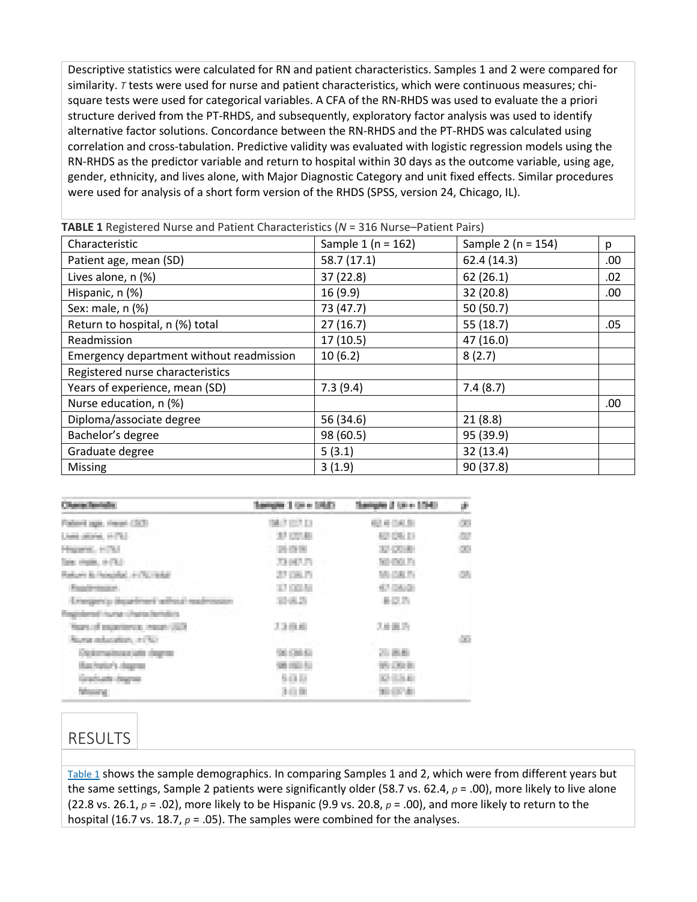Descriptive statistics were calculated for RN and patient characteristics. Samples 1 and 2 were compared for similarity. *T* tests were used for nurse and patient characteristics, which were continuous measures; chisquare tests were used for categorical variables. A CFA of the RN-RHDS was used to evaluate the a priori structure derived from the PT-RHDS, and subsequently, exploratory factor analysis was used to identify alternative factor solutions. Concordance between the RN-RHDS and the PT-RHDS was calculated using correlation and cross-tabulation. Predictive validity was evaluated with logistic regression models using the RN-RHDS as the predictor variable and return to hospital within 30 days as the outcome variable, using age, gender, ethnicity, and lives alone, with Major Diagnostic Category and unit fixed effects. Similar procedures were used for analysis of a short form version of the RHDS (SPSS, version 24, Chicago, IL).

| Characteristic                           | Sample $1(n = 162)$ | Sample 2 ( $n = 154$ ) | р    |
|------------------------------------------|---------------------|------------------------|------|
| Patient age, mean (SD)                   | 58.7(17.1)          | 62.4(14.3)             | .00. |
| Lives alone, n (%)                       | 37 (22.8)           | 62(26.1)               | .02  |
| Hispanic, n (%)                          | 16(9.9)             | 32 (20.8)              | .00  |
| Sex: male, n (%)                         | 73 (47.7)           | 50(50.7)               |      |
| Return to hospital, n (%) total          | 27(16.7)            | 55 (18.7)              | .05  |
| Readmission                              | 17(10.5)            | 47 (16.0)              |      |
| Emergency department without readmission | 10(6.2)             | 8(2.7)                 |      |
| Registered nurse characteristics         |                     |                        |      |
| Years of experience, mean (SD)           | 7.3(9.4)            | 7.4(8.7)               |      |
| Nurse education, n (%)                   |                     |                        | .00  |
| Diploma/associate degree                 | 56 (34.6)           | 21(8.8)                |      |
| Bachelor's degree                        | 98 (60.5)           | 95 (39.9)              |      |
| Graduate degree                          | 5(3.1)              | 32(13.4)               |      |
| <b>Missing</b>                           | 3(1.9)              | 90 (37.8)              |      |

**TABLE 1** Registered Nurse and Patient Characteristics (*N* = 316 Nurse–Patient Pairs)

|                                                                                           | <b>SEP 10</b>               | and the first<br>. | p.<br>m    |
|-------------------------------------------------------------------------------------------|-----------------------------|--------------------|------------|
| . Freeze                                                                                  | <b>STATE OF</b><br>MARCA DI | 12月20日             | in.        |
| Lives plane, in (%)                                                                       | 37,0748                     |                    | m B<br>ar. |
| <b>The Co</b><br><b>COLOR</b>                                                             | <b>STORY</b>                | 32 DC 93           | 22         |
| Telecomplete or Photo                                                                     | 23142.75                    | SE (SUP)           |            |
| <b><i>SERVICES</i></b><br><b>STERNE</b>                                                   | 27 DK 71                    | <b>CAT</b>         |            |
| <b>STATE OF STATE OF STATE</b><br><b>The Color</b>                                        | <b>ALCOHOL:</b>             | <b>AT DAVA</b>     |            |
| the control of the control                                                                |                             | n,                 |            |
| <b>STATE OF THE CONTRACTOR</b><br>_____                                                   |                             |                    |            |
| the company's the company's state<br>________                                             | 3388                        | スル出力               |            |
| <b>ANGELES ATTO</b><br>the control of the control of the con-                             |                             |                    | ×.         |
| and the control of the control of the control of<br><b>Contract of</b><br>_______________ |                             | A.E.               |            |
| <b>CONTRACTOR</b><br>The Control of the Control of                                        | a.                          | a.                 |            |
| Graduate degree                                                                           | 90 U                        |                    |            |
| ---<br><b>CONTRACT</b>                                                                    | $1 - 10$<br>_____           |                    |            |

## RESULTS

[Table 1](http://0-ovidsp.dc2.ovid.com.libus.csd.mu.edu/sp-4.02.1a/ovidweb.cgi?&S=FJHIFPLBKHEBDHHCIPCKEFEHFFGPAA00&Link+Set=S.sh.22.23.28.32%7c6%7csl_10&Counter5=TOC_article%7c00006199-201807000-00006%7cyrovft%7covftdb%7cyrovftt#TT1) shows the sample demographics. In comparing Samples 1 and 2, which were from different years but the same settings, Sample 2 patients were significantly older (58.7 vs. 62.4, *p* = .00), more likely to live alone (22.8 vs. 26.1, *p* = .02), more likely to be Hispanic (9.9 vs. 20.8, *p* = .00), and more likely to return to the hospital (16.7 vs. 18.7, *p* = .05). The samples were combined for the analyses.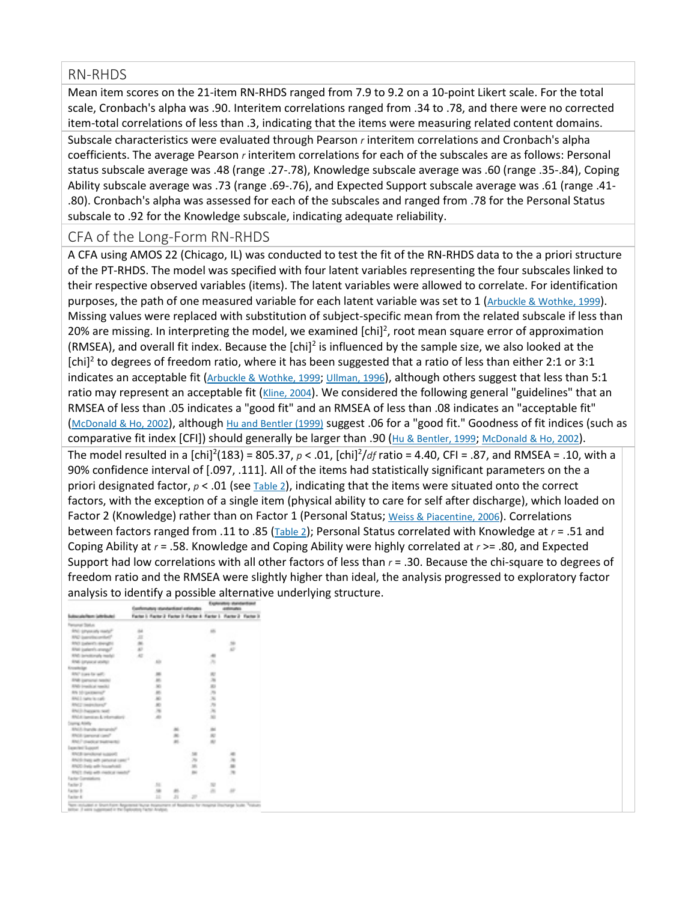#### RN-RHDS

Mean item scores on the 21-item RN-RHDS ranged from 7.9 to 9.2 on a 10-point Likert scale. For the total scale, Cronbach's alpha was .90. Interitem correlations ranged from .34 to .78, and there were no corrected item-total correlations of less than .3, indicating that the items were measuring related content domains.

Subscale characteristics were evaluated through Pearson *r* interitem correlations and Cronbach's alpha coefficients. The average Pearson *r* interitem correlations for each of the subscales are as follows: Personal status subscale average was .48 (range .27-.78), Knowledge subscale average was .60 (range .35-.84), Coping Ability subscale average was .73 (range .69-.76), and Expected Support subscale average was .61 (range .41- .80). Cronbach's alpha was assessed for each of the subscales and ranged from .78 for the Personal Status subscale to .92 for the Knowledge subscale, indicating adequate reliability.

#### CFA of the Long-Form RN-RHDS

A CFA using AMOS 22 (Chicago, IL) was conducted to test the fit of the RN-RHDS data to the a priori structure of the PT-RHDS. The model was specified with four latent variables representing the four subscales linked to their respective observed variables (items). The latent variables were allowed to correlate. For identification purposes, the path of one measured variable for each latent variable was set to 1 [\(Arbuckle & Wothke, 1999\)](http://0-ovidsp.dc2.ovid.com.libus.csd.mu.edu/sp-4.02.1a/ovidweb.cgi?&S=FJHIFPLBKHEBDHHCIPCKEFEHFFGPAA00&Link+Set=S.sh.22.23.28.32%7c6%7csl_10&Counter5=TOC_article%7c00006199-201807000-00006%7cyrovft%7covftdb%7cyrovftt#92). Missing values were replaced with substitution of subject-specific mean from the related subscale if less than 20% are missing. In interpreting the model, we examined [chi]<sup>2</sup>, root mean square error of approximation (RMSEA), and overall fit index. Because the  $[chi]^2$  is influenced by the sample size, we also looked at the  $[chi]^2$  to degrees of freedom ratio, where it has been suggested that a ratio of less than either 2:1 or 3:1 indicates an acceptable fit [\(Arbuckle & Wothke, 1999;](http://0-ovidsp.dc2.ovid.com.libus.csd.mu.edu/sp-4.02.1a/ovidweb.cgi?&S=FJHIFPLBKHEBDHHCIPCKEFEHFFGPAA00&Link+Set=S.sh.22.23.28.32%7c6%7csl_10&Counter5=TOC_article%7c00006199-201807000-00006%7cyrovft%7covftdb%7cyrovftt#92) [Ullman, 1996\)](http://0-ovidsp.dc2.ovid.com.libus.csd.mu.edu/sp-4.02.1a/ovidweb.cgi?&S=FJHIFPLBKHEBDHHCIPCKEFEHFFGPAA00&Link+Set=S.sh.22.23.28.32%7c6%7csl_10&Counter5=TOC_article%7c00006199-201807000-00006%7cyrovft%7covftdb%7cyrovftt#108), although others suggest that less than 5:1 ratio may represent an acceptable fit [\(Kline, 2004\)](http://0-ovidsp.dc2.ovid.com.libus.csd.mu.edu/sp-4.02.1a/ovidweb.cgi?&S=FJHIFPLBKHEBDHHCIPCKEFEHFFGPAA00&Link+Set=S.sh.22.23.28.32%7c6%7csl_10&Counter5=TOC_article%7c00006199-201807000-00006%7cyrovft%7covftdb%7cyrovftt#99). We considered the following general "guidelines" that an RMSEA of less than .05 indicates a "good fit" and an RMSEA of less than .08 indicates an "acceptable fit" [\(McDonald & Ho, 2002\)](http://0-ovidsp.dc2.ovid.com.libus.csd.mu.edu/sp-4.02.1a/ovidweb.cgi?&S=FJHIFPLBKHEBDHHCIPCKEFEHFFGPAA00&Link+Set=S.sh.22.23.28.32%7c6%7csl_10&Counter5=TOC_article%7c00006199-201807000-00006%7cyrovft%7covftdb%7cyrovftt#101), although [Hu and Bentler \(1999\)](http://0-ovidsp.dc2.ovid.com.libus.csd.mu.edu/sp-4.02.1a/ovidweb.cgi?&S=FJHIFPLBKHEBDHHCIPCKEFEHFFGPAA00&Link+Set=S.sh.22.23.28.32%7c6%7csl_10&Counter5=TOC_article%7c00006199-201807000-00006%7cyrovft%7covftdb%7cyrovftt#97) suggest .06 for a "good fit." Goodness of fit indices (such as comparative fit index [CFI]) should generally be larger than .90 [\(Hu & Bentler, 1999;](http://0-ovidsp.dc2.ovid.com.libus.csd.mu.edu/sp-4.02.1a/ovidweb.cgi?&S=FJHIFPLBKHEBDHHCIPCKEFEHFFGPAA00&Link+Set=S.sh.22.23.28.32%7c6%7csl_10&Counter5=TOC_article%7c00006199-201807000-00006%7cyrovft%7covftdb%7cyrovftt#97) [McDonald & Ho, 2002\)](http://0-ovidsp.dc2.ovid.com.libus.csd.mu.edu/sp-4.02.1a/ovidweb.cgi?&S=FJHIFPLBKHEBDHHCIPCKEFEHFFGPAA00&Link+Set=S.sh.22.23.28.32%7c6%7csl_10&Counter5=TOC_article%7c00006199-201807000-00006%7cyrovft%7covftdb%7cyrovftt#101). The model resulted in a [chi]<sup>2</sup>(183) = 805.37,  $p < .01$ , [chi]<sup>2</sup>/df ratio = 4.40, CFI = .87, and RMSEA = .10, with a 90% confidence interval of [.097, .111]. All of the items had statistically significant parameters on the a priori designated factor,  $p < .01$  (see [Table 2\)](http://0-ovidsp.dc2.ovid.com.libus.csd.mu.edu/sp-4.02.1a/ovidweb.cgi?&S=FJHIFPLBKHEBDHHCIPCKEFEHFFGPAA00&Link+Set=S.sh.22.23.28.32%7c6%7csl_10&Counter5=TOC_article%7c00006199-201807000-00006%7cyrovft%7covftdb%7cyrovftt#TT2), indicating that the items were situated onto the correct factors, with the exception of a single item (physical ability to care for self after discharge), which loaded on Factor 2 (Knowledge) rather than on Factor 1 (Personal Status; [Weiss & Piacentine, 2006\)](http://0-ovidsp.dc2.ovid.com.libus.csd.mu.edu/sp-4.02.1a/ovidweb.cgi?&S=FJHIFPLBKHEBDHHCIPCKEFEHFFGPAA00&Link+Set=S.sh.22.23.28.32%7c6%7csl_10&Counter5=TOC_article%7c00006199-201807000-00006%7cyrovft%7covftdb%7cyrovftt#113). Correlations between factors ranged from .11 to .85 [\(Table 2\)](http://0-ovidsp.dc2.ovid.com.libus.csd.mu.edu/sp-4.02.1a/ovidweb.cgi?&S=FJHIFPLBKHEBDHHCIPCKEFEHFFGPAA00&Link+Set=S.sh.22.23.28.32%7c6%7csl_10&Counter5=TOC_article%7c00006199-201807000-00006%7cyrovft%7covftdb%7cyrovftt#TT2); Personal Status correlated with Knowledge at *r* = .51 and Coping Ability at *r* = .58. Knowledge and Coping Ability were highly correlated at *r* >= .80, and Expected Support had low correlations with all other factors of less than *r* = .30. Because the chi-square to degrees of freedom ratio and the RMSEA were slightly higher than ideal, the analysis progressed to exploratory factor analysis to identify a possible alternative underlying structure.

|                                       | Eurofensatery standardized astimates |                          |                                                                | antiques.   |                         |            |  |
|---------------------------------------|--------------------------------------|--------------------------|----------------------------------------------------------------|-------------|-------------------------|------------|--|
| Subscriptions (attribute)             |                                      |                          | Factor & Ractor & Factor & Ractor & Ractor & Ractor & Ractor & |             |                         |            |  |
| Plenyonar Stalius                     |                                      |                          |                                                                |             |                         |            |  |
| BNI (drawably metal)                  | 188                                  |                          |                                                                |             | IB.                     |            |  |
| RPG Supraths prided?                  | J.                                   |                          |                                                                |             |                         |            |  |
| BNS (palant's divergible)             | 186                                  |                          |                                                                |             |                         | SB.        |  |
| What justere's analysis?              | 180                                  |                          |                                                                |             |                         | ii)        |  |
| RPATI (astrollicity) (assigl)         | <b>AT</b>                            |                          |                                                                |             | ÷                       |            |  |
| <b>Bindi personal senitari</b>        |                                      | m                        |                                                                |             | p.                      |            |  |
| <b>KNOWMERS</b>                       |                                      |                          |                                                                |             |                         |            |  |
| RAC Lore for and                      |                                      | m                        |                                                                |             | 町                       |            |  |
| ENE personal basis:                   |                                      | m                        |                                                                |             | 浙                       |            |  |
| <b>Birds (made at needs)</b>          |                                      | $\mathbb{R}$             |                                                                |             | ii)                     |            |  |
| <b>Bit Magaziners</b> *               |                                      | 46                       |                                                                |             | 岸                       |            |  |
| <b>RACI rate is cult.</b>             |                                      | <b>ARC</b>               |                                                                |             | 36                      |            |  |
| RNCT (emperators)?                    |                                      | $\overline{\mathcal{N}}$ |                                                                |             | 序                       |            |  |
| <b>Biblich Stewarts: bod!</b>         |                                      | $\overline{\mathbf{a}}$  |                                                                |             | P.                      |            |  |
| RFGS bandles & Hamatoric              |                                      | æ                        |                                                                |             | $\overline{\mathbf{z}}$ |            |  |
| Courses Atlanta                       |                                      |                          |                                                                |             |                         |            |  |
| <b>Bhild Ingolls demander</b>         |                                      |                          | m.                                                             |             | m                       |            |  |
| <b>BROB: painonal cand?</b>           |                                      |                          | in.                                                            |             | $-100$                  |            |  |
| <b>Billian Chevrolet Breaktheater</b> |                                      |                          | an.                                                            |             | 图                       |            |  |
| Galacter/Support                      |                                      |                          |                                                                |             |                         |            |  |
| RPCB percharge napport                |                                      |                          |                                                                | w           |                         | 柵          |  |
| <b>Bride has add percent care?</b>    |                                      |                          |                                                                | ×.          |                         | 周          |  |
| <b>BROD Engly with households</b>     |                                      |                          |                                                                | <b>INFO</b> |                         | m          |  |
| RNCL Date with medical needs?         |                                      |                          |                                                                | m.          |                         | 191        |  |
| Ranker Garmanhorn                     |                                      |                          |                                                                |             |                         |            |  |
| Factor 21                             |                                      | <b>SHI</b>               |                                                                |             | B.                      |            |  |
| Pactor 81                             |                                      | 58                       | <b>IN</b>                                                      |             | m                       | <b>ART</b> |  |
| Farm 6                                |                                      | m                        | <b>JR</b>                                                      | D.          |                         |            |  |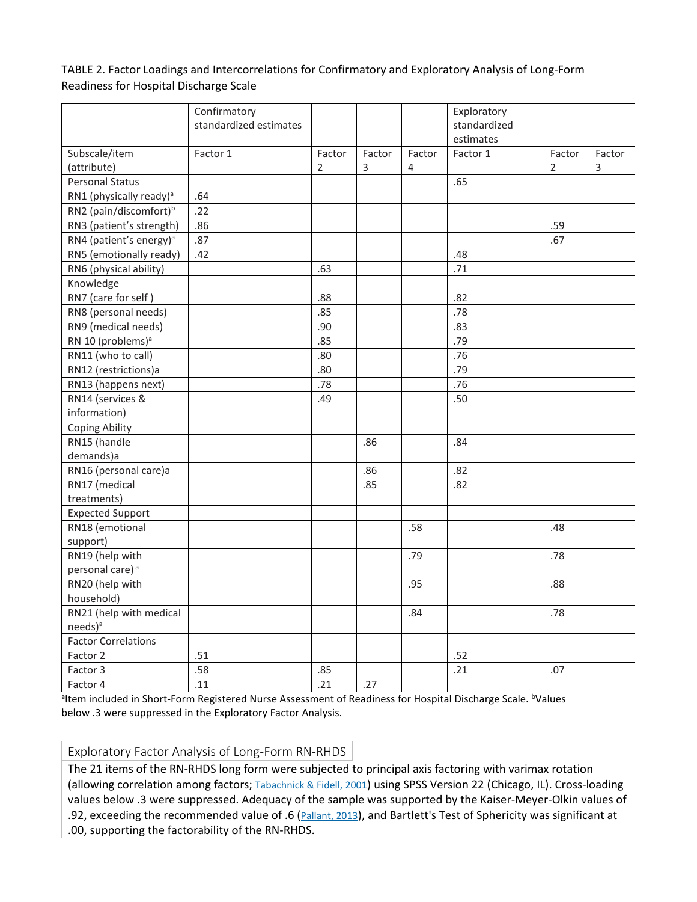TABLE 2. Factor Loadings and Intercorrelations for Confirmatory and Exploratory Analysis of Long-Form Readiness for Hospital Discharge Scale

|                                     | Confirmatory           |                |        |        | Exploratory  |        |        |
|-------------------------------------|------------------------|----------------|--------|--------|--------------|--------|--------|
|                                     | standardized estimates |                |        |        | standardized |        |        |
|                                     |                        |                |        |        | estimates    |        |        |
| Subscale/item                       | Factor 1               | Factor         | Factor | Factor | Factor 1     | Factor | Factor |
| (attribute)                         |                        | $\overline{2}$ | 3      | 4      |              | 2      | 3      |
| <b>Personal Status</b>              |                        |                |        |        | .65          |        |        |
| RN1 (physically ready) <sup>a</sup> | .64                    |                |        |        |              |        |        |
| RN2 (pain/discomfort) <sup>b</sup>  | .22                    |                |        |        |              |        |        |
| RN3 (patient's strength)            | .86                    |                |        |        |              | .59    |        |
| RN4 (patient's energy) <sup>a</sup> | .87                    |                |        |        |              | .67    |        |
| RN5 (emotionally ready)             | .42                    |                |        |        | .48          |        |        |
| RN6 (physical ability)              |                        | .63            |        |        | .71          |        |        |
| Knowledge                           |                        |                |        |        |              |        |        |
| RN7 (care for self)                 |                        | .88            |        |        | .82          |        |        |
| RN8 (personal needs)                |                        | .85            |        |        | .78          |        |        |
| RN9 (medical needs)                 |                        | .90            |        |        | .83          |        |        |
| RN 10 (problems) <sup>a</sup>       |                        | .85            |        |        | .79          |        |        |
| RN11 (who to call)                  |                        | .80            |        |        | .76          |        |        |
| RN12 (restrictions)a                |                        | .80            |        |        | .79          |        |        |
| RN13 (happens next)                 |                        | .78            |        |        | .76          |        |        |
| RN14 (services &                    |                        | .49            |        |        | .50          |        |        |
| information)                        |                        |                |        |        |              |        |        |
| <b>Coping Ability</b>               |                        |                |        |        |              |        |        |
| RN15 (handle                        |                        |                | .86    |        | .84          |        |        |
| demands)a                           |                        |                |        |        |              |        |        |
| RN16 (personal care)a               |                        |                | .86    |        | .82          |        |        |
| RN17 (medical                       |                        |                | .85    |        | .82          |        |        |
| treatments)                         |                        |                |        |        |              |        |        |
| <b>Expected Support</b>             |                        |                |        |        |              |        |        |
| RN18 (emotional                     |                        |                |        | .58    |              | .48    |        |
| support)                            |                        |                |        |        |              |        |        |
| RN19 (help with                     |                        |                |        | .79    |              | .78    |        |
| personal care) <sup>a</sup>         |                        |                |        |        |              |        |        |
| RN20 (help with                     |                        |                |        | .95    |              | .88    |        |
| household)                          |                        |                |        |        |              |        |        |
| RN21 (help with medical             |                        |                |        | .84    |              | .78    |        |
| needs) <sup>a</sup>                 |                        |                |        |        |              |        |        |
| <b>Factor Correlations</b>          |                        |                |        |        |              |        |        |
| Factor 2                            | .51                    |                |        |        | .52          |        |        |
| Factor 3                            | .58                    | .85            |        |        | .21          | .07    |        |
| Factor 4                            | .11                    | .21            | .27    |        |              |        |        |

<sup>a</sup>ltem included in Short-Form Registered Nurse Assessment of Readiness for Hospital Discharge Scale. <sup>b</sup>Values below .3 were suppressed in the Exploratory Factor Analysis.

Exploratory Factor Analysis of Long-Form RN-RHDS

The 21 items of the RN-RHDS long form were subjected to principal axis factoring with varimax rotation (allowing correlation among factors; [Tabachnick & Fidell, 2001\)](http://0-ovidsp.dc2.ovid.com.libus.csd.mu.edu/sp-4.02.1a/ovidweb.cgi?&S=FJHIFPLBKHEBDHHCIPCKEFEHFFGPAA00&Link+Set=S.sh.22.23.28.32%7c6%7csl_10&Counter5=TOC_article%7c00006199-201807000-00006%7cyrovft%7covftdb%7cyrovftt#107) using SPSS Version 22 (Chicago, IL). Cross-loading values below .3 were suppressed. Adequacy of the sample was supported by the Kaiser-Meyer-Olkin values of .92, exceeding the recommended value of .6 [\(Pallant, 2013\)](http://0-ovidsp.dc2.ovid.com.libus.csd.mu.edu/sp-4.02.1a/ovidweb.cgi?&S=FJHIFPLBKHEBDHHCIPCKEFEHFFGPAA00&Link+Set=S.sh.22.23.28.32%7c6%7csl_10&Counter5=TOC_article%7c00006199-201807000-00006%7cyrovft%7covftdb%7cyrovftt#106), and Bartlett's Test of Sphericity was significant at .00, supporting the factorability of the RN-RHDS.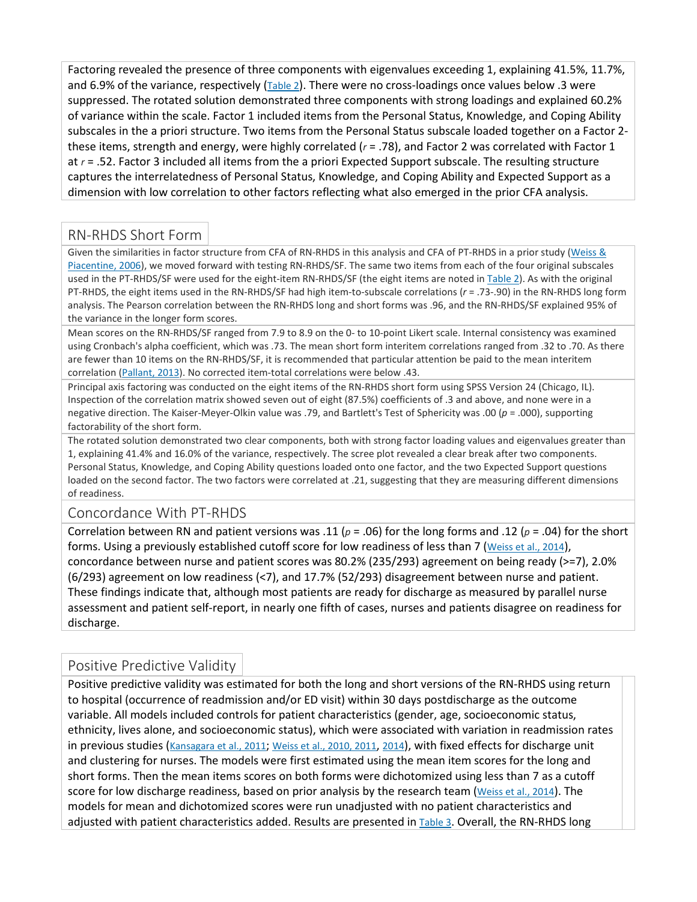Factoring revealed the presence of three components with eigenvalues exceeding 1, explaining 41.5%, 11.7%, and 6.9% of the variance, respectively [\(Table 2\)](http://0-ovidsp.dc2.ovid.com.libus.csd.mu.edu/sp-4.02.1a/ovidweb.cgi?&S=FJHIFPLBKHEBDHHCIPCKEFEHFFGPAA00&Link+Set=S.sh.22.23.28.32%7c6%7csl_10&Counter5=TOC_article%7c00006199-201807000-00006%7cyrovft%7covftdb%7cyrovftt#TT2). There were no cross-loadings once values below .3 were suppressed. The rotated solution demonstrated three components with strong loadings and explained 60.2% of variance within the scale. Factor 1 included items from the Personal Status, Knowledge, and Coping Ability subscales in the a priori structure. Two items from the Personal Status subscale loaded together on a Factor 2 these items, strength and energy, were highly correlated (*r* = .78), and Factor 2 was correlated with Factor 1 at *r* = .52. Factor 3 included all items from the a priori Expected Support subscale. The resulting structure captures the interrelatedness of Personal Status, Knowledge, and Coping Ability and Expected Support as a dimension with low correlation to other factors reflecting what also emerged in the prior CFA analysis.

### RN-RHDS Short Form

Given the similarities in factor structure from CFA of RN-RHDS in this analysis and CFA of PT-RHDS in a prior study [\(Weiss &](http://0-ovidsp.dc2.ovid.com.libus.csd.mu.edu/sp-4.02.1a/ovidweb.cgi?&S=FJHIFPLBKHEBDHHCIPCKEFEHFFGPAA00&Link+Set=S.sh.22.23.28.32%7c6%7csl_10&Counter5=TOC_article%7c00006199-201807000-00006%7cyrovft%7covftdb%7cyrovftt#113)  [Piacentine, 2006\)](http://0-ovidsp.dc2.ovid.com.libus.csd.mu.edu/sp-4.02.1a/ovidweb.cgi?&S=FJHIFPLBKHEBDHHCIPCKEFEHFFGPAA00&Link+Set=S.sh.22.23.28.32%7c6%7csl_10&Counter5=TOC_article%7c00006199-201807000-00006%7cyrovft%7covftdb%7cyrovftt#113), we moved forward with testing RN-RHDS/SF. The same two items from each of the four original subscales used in the PT-RHDS/SF were used for the eight-item RN-RHDS/SF (the eight items are noted in [Table 2\)](http://0-ovidsp.dc2.ovid.com.libus.csd.mu.edu/sp-4.02.1a/ovidweb.cgi?&S=FJHIFPLBKHEBDHHCIPCKEFEHFFGPAA00&Link+Set=S.sh.22.23.28.32%7c6%7csl_10&Counter5=TOC_article%7c00006199-201807000-00006%7cyrovft%7covftdb%7cyrovftt#TT2). As with the original PT-RHDS, the eight items used in the RN-RHDS/SF had high item-to-subscale correlations (*r* = .73-.90) in the RN-RHDS long form analysis. The Pearson correlation between the RN-RHDS long and short forms was .96, and the RN-RHDS/SF explained 95% of the variance in the longer form scores.

Mean scores on the RN-RHDS/SF ranged from 7.9 to 8.9 on the 0- to 10-point Likert scale. Internal consistency was examined using Cronbach's alpha coefficient, which was .73. The mean short form interitem correlations ranged from .32 to .70. As there are fewer than 10 items on the RN-RHDS/SF, it is recommended that particular attention be paid to the mean interitem correlation [\(Pallant, 2013\)](http://0-ovidsp.dc2.ovid.com.libus.csd.mu.edu/sp-4.02.1a/ovidweb.cgi?&S=FJHIFPLBKHEBDHHCIPCKEFEHFFGPAA00&Link+Set=S.sh.22.23.28.32%7c6%7csl_10&Counter5=TOC_article%7c00006199-201807000-00006%7cyrovft%7covftdb%7cyrovftt#106). No corrected item-total correlations were below .43.

Principal axis factoring was conducted on the eight items of the RN-RHDS short form using SPSS Version 24 (Chicago, IL). Inspection of the correlation matrix showed seven out of eight (87.5%) coefficients of .3 and above, and none were in a negative direction. The Kaiser-Meyer-Olkin value was .79, and Bartlett's Test of Sphericity was .00 (*p* = .000), supporting factorability of the short form.

The rotated solution demonstrated two clear components, both with strong factor loading values and eigenvalues greater than 1, explaining 41.4% and 16.0% of the variance, respectively. The scree plot revealed a clear break after two components. Personal Status, Knowledge, and Coping Ability questions loaded onto one factor, and the two Expected Support questions loaded on the second factor. The two factors were correlated at .21, suggesting that they are measuring different dimensions of readiness.

#### Concordance With PT-RHDS

Correlation between RN and patient versions was .11 (*p* = .06) for the long forms and .12 (*p* = .04) for the short forms. Using a previously established cutoff score for low readiness of less than 7 [\(Weiss et al., 2014\)](http://0-ovidsp.dc2.ovid.com.libus.csd.mu.edu/sp-4.02.1a/ovidweb.cgi?&S=FJHIFPLBKHEBDHHCIPCKEFEHFFGPAA00&Link+Set=S.sh.22.23.28.32%7c6%7csl_10&Counter5=TOC_article%7c00006199-201807000-00006%7cyrovft%7covftdb%7cyrovftt#110), concordance between nurse and patient scores was 80.2% (235/293) agreement on being ready (>=7), 2.0% (6/293) agreement on low readiness (<7), and 17.7% (52/293) disagreement between nurse and patient. These findings indicate that, although most patients are ready for discharge as measured by parallel nurse assessment and patient self-report, in nearly one fifth of cases, nurses and patients disagree on readiness for discharge.

#### Positive Predictive Validity

Positive predictive validity was estimated for both the long and short versions of the RN-RHDS using return to hospital (occurrence of readmission and/or ED visit) within 30 days postdischarge as the outcome variable. All models included controls for patient characteristics (gender, age, socioeconomic status, ethnicity, lives alone, and socioeconomic status), which were associated with variation in readmission rates in previous studies [\(Kansagara et al., 2011;](http://0-ovidsp.dc2.ovid.com.libus.csd.mu.edu/sp-4.02.1a/ovidweb.cgi?&S=FJHIFPLBKHEBDHHCIPCKEFEHFFGPAA00&Link+Set=S.sh.22.23.28.32%7c6%7csl_10&Counter5=TOC_article%7c00006199-201807000-00006%7cyrovft%7covftdb%7cyrovftt#98) [Weiss et al., 2010, 2011,](http://0-ovidsp.dc2.ovid.com.libus.csd.mu.edu/sp-4.02.1a/ovidweb.cgi?&S=FJHIFPLBKHEBDHHCIPCKEFEHFFGPAA00&Link+Set=S.sh.22.23.28.32%7c6%7csl_10&Counter5=TOC_article%7c00006199-201807000-00006%7cyrovft%7covftdb%7cyrovftt#115) [2014\)](http://0-ovidsp.dc2.ovid.com.libus.csd.mu.edu/sp-4.02.1a/ovidweb.cgi?&S=FJHIFPLBKHEBDHHCIPCKEFEHFFGPAA00&Link+Set=S.sh.22.23.28.32%7c6%7csl_10&Counter5=TOC_article%7c00006199-201807000-00006%7cyrovft%7covftdb%7cyrovftt#110), with fixed effects for discharge unit and clustering for nurses. The models were first estimated using the mean item scores for the long and short forms. Then the mean items scores on both forms were dichotomized using less than 7 as a cutoff score for low discharge readiness, based on prior analysis by the research team [\(Weiss et al., 2014\)](http://0-ovidsp.dc2.ovid.com.libus.csd.mu.edu/sp-4.02.1a/ovidweb.cgi?&S=FJHIFPLBKHEBDHHCIPCKEFEHFFGPAA00&Link+Set=S.sh.22.23.28.32%7c6%7csl_10&Counter5=TOC_article%7c00006199-201807000-00006%7cyrovft%7covftdb%7cyrovftt#110). The models for mean and dichotomized scores were run unadjusted with no patient characteristics and adjusted with patient characteristics added. Results are presented in [Table 3.](http://0-ovidsp.dc2.ovid.com.libus.csd.mu.edu/sp-4.02.1a/ovidweb.cgi?&S=FJHIFPLBKHEBDHHCIPCKEFEHFFGPAA00&Link+Set=S.sh.22.23.28.32%7c6%7csl_10&Counter5=TOC_article%7c00006199-201807000-00006%7cyrovft%7covftdb%7cyrovftt#TT3) Overall, the RN-RHDS long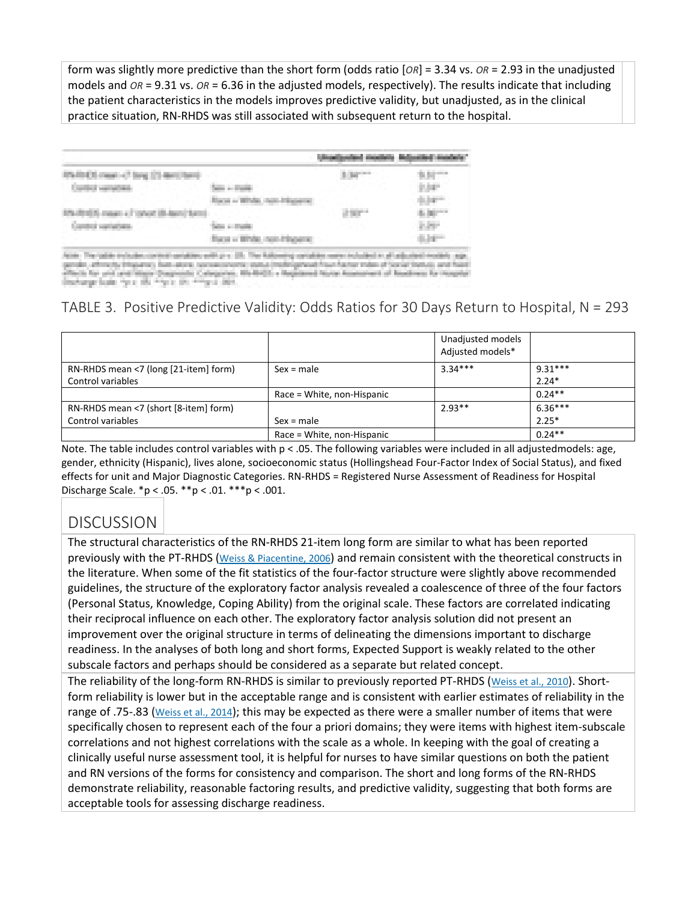form was slightly more predictive than the short form (odds ratio [*OR*] = 3.34 vs. *OR* = 2.93 in the unadjusted models and *OR* = 9.31 vs. *OR* = 6.36 in the adjusted models, respectively). The results indicate that including the patient characteristics in the models improves predictive validity, but unadjusted, as in the clinical practice situation, RN-RHDS was still associated with subsequent return to the hospital.

|                           |                                                  | 3.34 *** | 5.51 ***     |
|---------------------------|--------------------------------------------------|----------|--------------|
| Considered approval class |                                                  |          | 2.04°        |
|                           |                                                  |          | <b>SAFT</b>  |
| program and company of    |                                                  | Jugar-   | 6.00 -       |
| and the company's state.  | <b>Start College</b>                             |          | <b>Nov.</b>  |
|                           | <b>College Control Statement of</b><br>The story |          | <b>Allen</b> |
| control contribution with | A-Min                                            |          |              |

hach for your was himmy Dagmash. Calegories, 4th-6405; a happened blow homest<br>scharge book "gran ett, ""gran (in ""gran 2011.

## TABLE 3. Positive Predictive Validity: Odds Ratios for 30 Days Return to Hospital, N = 293

|                                       |                            | Unadjusted models<br>Adjusted models* |           |
|---------------------------------------|----------------------------|---------------------------------------|-----------|
| RN-RHDS mean <7 (long [21-item] form) | $Sex = male$               | $3.34***$                             | $9.31***$ |
| Control variables                     |                            |                                       | $2.24*$   |
|                                       | Race = White, non-Hispanic |                                       | $0.24**$  |
| RN-RHDS mean <7 (short [8-item] form) |                            | $2.93**$                              | $6.36***$ |
| Control variables                     | $Sex = male$               |                                       | $2.25*$   |
|                                       | Race = White, non-Hispanic |                                       | $0.24**$  |

Note. The table includes control variables with p < .05. The following variables were included in all adjustedmodels: age, gender, ethnicity (Hispanic), lives alone, socioeconomic status (Hollingshead Four-Factor Index of Social Status), and fixed effects for unit and Major Diagnostic Categories. RN-RHDS = Registered Nurse Assessment of Readiness for Hospital Discharge Scale.  $*p < .05$ .  $**p < .01$ .  $***p < .001$ .

## **DISCUSSION**

The structural characteristics of the RN-RHDS 21-item long form are similar to what has been reported previously with the PT-RHDS [\(Weiss & Piacentine, 2006\)](http://0-ovidsp.dc2.ovid.com.libus.csd.mu.edu/sp-4.02.1a/ovidweb.cgi?&S=FJHIFPLBKHEBDHHCIPCKEFEHFFGPAA00&Link+Set=S.sh.22.23.28.32%7c6%7csl_10&Counter5=TOC_article%7c00006199-201807000-00006%7cyrovft%7covftdb%7cyrovftt#113) and remain consistent with the theoretical constructs in the literature. When some of the fit statistics of the four-factor structure were slightly above recommended guidelines, the structure of the exploratory factor analysis revealed a coalescence of three of the four factors (Personal Status, Knowledge, Coping Ability) from the original scale. These factors are correlated indicating their reciprocal influence on each other. The exploratory factor analysis solution did not present an improvement over the original structure in terms of delineating the dimensions important to discharge readiness. In the analyses of both long and short forms, Expected Support is weakly related to the other subscale factors and perhaps should be considered as a separate but related concept.

The reliability of the long-form RN-RHDS is similar to previously reported PT-RHDS [\(Weiss et al., 2010\)](http://0-ovidsp.dc2.ovid.com.libus.csd.mu.edu/sp-4.02.1a/ovidweb.cgi?&S=FJHIFPLBKHEBDHHCIPCKEFEHFFGPAA00&Link+Set=S.sh.22.23.28.32%7c6%7csl_10&Counter5=TOC_article%7c00006199-201807000-00006%7cyrovft%7covftdb%7cyrovftt#115). Shortform reliability is lower but in the acceptable range and is consistent with earlier estimates of reliability in the range of .75-.83 [\(Weiss et al., 2014\)](http://0-ovidsp.dc2.ovid.com.libus.csd.mu.edu/sp-4.02.1a/ovidweb.cgi?&S=FJHIFPLBKHEBDHHCIPCKEFEHFFGPAA00&Link+Set=S.sh.22.23.28.32%7c6%7csl_10&Counter5=TOC_article%7c00006199-201807000-00006%7cyrovft%7covftdb%7cyrovftt#110); this may be expected as there were a smaller number of items that were specifically chosen to represent each of the four a priori domains; they were items with highest item-subscale correlations and not highest correlations with the scale as a whole. In keeping with the goal of creating a clinically useful nurse assessment tool, it is helpful for nurses to have similar questions on both the patient and RN versions of the forms for consistency and comparison. The short and long forms of the RN-RHDS demonstrate reliability, reasonable factoring results, and predictive validity, suggesting that both forms are acceptable tools for assessing discharge readiness.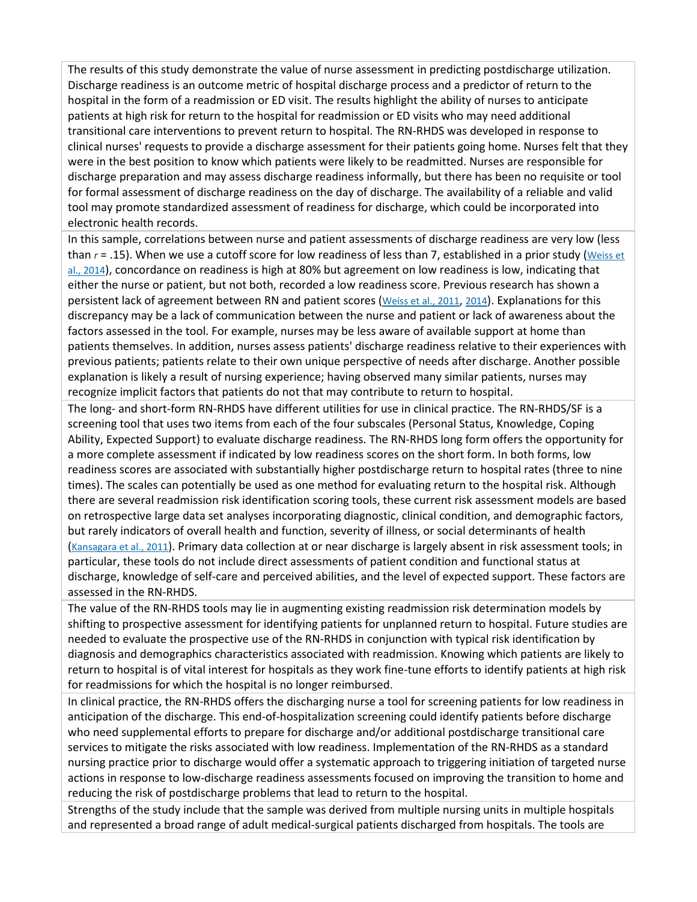The results of this study demonstrate the value of nurse assessment in predicting postdischarge utilization. Discharge readiness is an outcome metric of hospital discharge process and a predictor of return to the hospital in the form of a readmission or ED visit. The results highlight the ability of nurses to anticipate patients at high risk for return to the hospital for readmission or ED visits who may need additional transitional care interventions to prevent return to hospital. The RN-RHDS was developed in response to clinical nurses' requests to provide a discharge assessment for their patients going home. Nurses felt that they were in the best position to know which patients were likely to be readmitted. Nurses are responsible for discharge preparation and may assess discharge readiness informally, but there has been no requisite or tool for formal assessment of discharge readiness on the day of discharge. The availability of a reliable and valid tool may promote standardized assessment of readiness for discharge, which could be incorporated into electronic health records.

In this sample, correlations between nurse and patient assessments of discharge readiness are very low (less than *r* = .15). When we use a cutoff score for low readiness of less than 7, established in a prior study [\(Weiss et](http://0-ovidsp.dc2.ovid.com.libus.csd.mu.edu/sp-4.02.1a/ovidweb.cgi?&S=FJHIFPLBKHEBDHHCIPCKEFEHFFGPAA00&Link+Set=S.sh.22.23.28.32%7c6%7csl_10&Counter5=TOC_article%7c00006199-201807000-00006%7cyrovft%7covftdb%7cyrovftt#110)  [al., 2014\)](http://0-ovidsp.dc2.ovid.com.libus.csd.mu.edu/sp-4.02.1a/ovidweb.cgi?&S=FJHIFPLBKHEBDHHCIPCKEFEHFFGPAA00&Link+Set=S.sh.22.23.28.32%7c6%7csl_10&Counter5=TOC_article%7c00006199-201807000-00006%7cyrovft%7covftdb%7cyrovftt#110), concordance on readiness is high at 80% but agreement on low readiness is low, indicating that either the nurse or patient, but not both, recorded a low readiness score. Previous research has shown a persistent lack of agreement between RN and patient scores [\(Weiss et al., 2011,](http://0-ovidsp.dc2.ovid.com.libus.csd.mu.edu/sp-4.02.1a/ovidweb.cgi?&S=FJHIFPLBKHEBDHHCIPCKEFEHFFGPAA00&Link+Set=S.sh.22.23.28.32%7c6%7csl_10&Counter5=TOC_article%7c00006199-201807000-00006%7cyrovft%7covftdb%7cyrovftt#116) [2014\)](http://0-ovidsp.dc2.ovid.com.libus.csd.mu.edu/sp-4.02.1a/ovidweb.cgi?&S=FJHIFPLBKHEBDHHCIPCKEFEHFFGPAA00&Link+Set=S.sh.22.23.28.32%7c6%7csl_10&Counter5=TOC_article%7c00006199-201807000-00006%7cyrovft%7covftdb%7cyrovftt#110). Explanations for this discrepancy may be a lack of communication between the nurse and patient or lack of awareness about the factors assessed in the tool. For example, nurses may be less aware of available support at home than patients themselves. In addition, nurses assess patients' discharge readiness relative to their experiences with previous patients; patients relate to their own unique perspective of needs after discharge. Another possible explanation is likely a result of nursing experience; having observed many similar patients, nurses may recognize implicit factors that patients do not that may contribute to return to hospital.

The long- and short-form RN-RHDS have different utilities for use in clinical practice. The RN-RHDS/SF is a screening tool that uses two items from each of the four subscales (Personal Status, Knowledge, Coping Ability, Expected Support) to evaluate discharge readiness. The RN-RHDS long form offers the opportunity for a more complete assessment if indicated by low readiness scores on the short form. In both forms, low readiness scores are associated with substantially higher postdischarge return to hospital rates (three to nine times). The scales can potentially be used as one method for evaluating return to the hospital risk. Although there are several readmission risk identification scoring tools, these current risk assessment models are based on retrospective large data set analyses incorporating diagnostic, clinical condition, and demographic factors, but rarely indicators of overall health and function, severity of illness, or social determinants of health [\(Kansagara et al., 2011\)](http://0-ovidsp.dc2.ovid.com.libus.csd.mu.edu/sp-4.02.1a/ovidweb.cgi?&S=FJHIFPLBKHEBDHHCIPCKEFEHFFGPAA00&Link+Set=S.sh.22.23.28.32%7c6%7csl_10&Counter5=TOC_article%7c00006199-201807000-00006%7cyrovft%7covftdb%7cyrovftt#98). Primary data collection at or near discharge is largely absent in risk assessment tools; in particular, these tools do not include direct assessments of patient condition and functional status at discharge, knowledge of self-care and perceived abilities, and the level of expected support. These factors are assessed in the RN-RHDS.

The value of the RN-RHDS tools may lie in augmenting existing readmission risk determination models by shifting to prospective assessment for identifying patients for unplanned return to hospital. Future studies are needed to evaluate the prospective use of the RN-RHDS in conjunction with typical risk identification by diagnosis and demographics characteristics associated with readmission. Knowing which patients are likely to return to hospital is of vital interest for hospitals as they work fine-tune efforts to identify patients at high risk for readmissions for which the hospital is no longer reimbursed.

In clinical practice, the RN-RHDS offers the discharging nurse a tool for screening patients for low readiness in anticipation of the discharge. This end-of-hospitalization screening could identify patients before discharge who need supplemental efforts to prepare for discharge and/or additional postdischarge transitional care services to mitigate the risks associated with low readiness. Implementation of the RN-RHDS as a standard nursing practice prior to discharge would offer a systematic approach to triggering initiation of targeted nurse actions in response to low-discharge readiness assessments focused on improving the transition to home and reducing the risk of postdischarge problems that lead to return to the hospital.

Strengths of the study include that the sample was derived from multiple nursing units in multiple hospitals and represented a broad range of adult medical-surgical patients discharged from hospitals. The tools are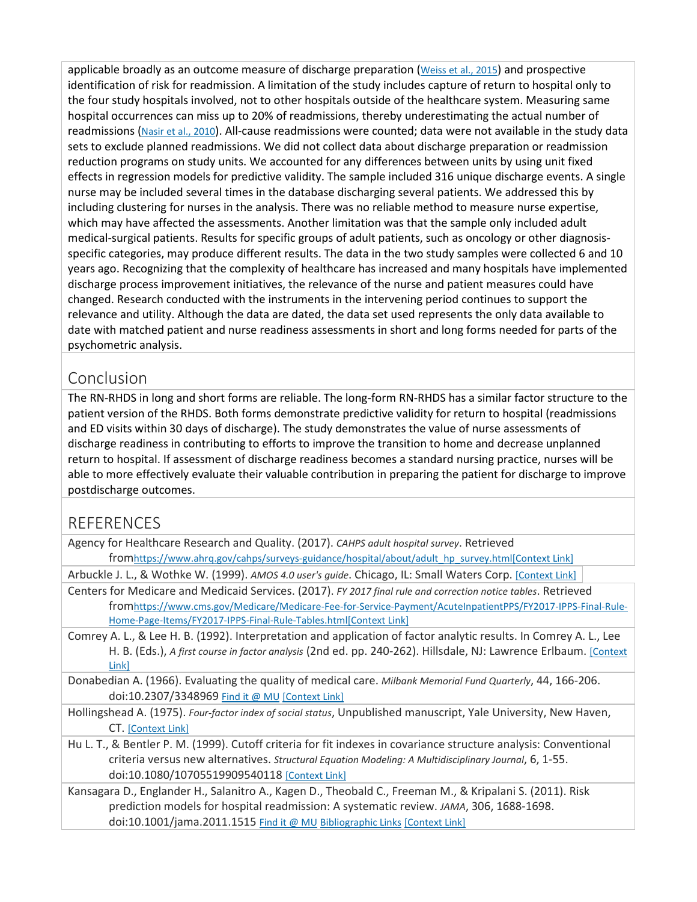applicable broadly as an outcome measure of discharge preparation [\(Weiss et al., 2015\)](http://0-ovidsp.dc2.ovid.com.libus.csd.mu.edu/sp-4.02.1a/ovidweb.cgi?&S=FJHIFPLBKHEBDHHCIPCKEFEHFFGPAA00&Link+Set=S.sh.22.23.28.32%7c6%7csl_10&Counter5=TOC_article%7c00006199-201807000-00006%7cyrovft%7covftdb%7cyrovftt#109) and prospective identification of risk for readmission. A limitation of the study includes capture of return to hospital only to the four study hospitals involved, not to other hospitals outside of the healthcare system. Measuring same hospital occurrences can miss up to 20% of readmissions, thereby underestimating the actual number of readmissions [\(Nasir et al., 2010\)](http://0-ovidsp.dc2.ovid.com.libus.csd.mu.edu/sp-4.02.1a/ovidweb.cgi?&S=FJHIFPLBKHEBDHHCIPCKEFEHFFGPAA00&Link+Set=S.sh.22.23.28.32%7c6%7csl_10&Counter5=TOC_article%7c00006199-201807000-00006%7cyrovft%7covftdb%7cyrovftt#104). All-cause readmissions were counted; data were not available in the study data sets to exclude planned readmissions. We did not collect data about discharge preparation or readmission reduction programs on study units. We accounted for any differences between units by using unit fixed effects in regression models for predictive validity. The sample included 316 unique discharge events. A single nurse may be included several times in the database discharging several patients. We addressed this by including clustering for nurses in the analysis. There was no reliable method to measure nurse expertise, which may have affected the assessments. Another limitation was that the sample only included adult medical-surgical patients. Results for specific groups of adult patients, such as oncology or other diagnosisspecific categories, may produce different results. The data in the two study samples were collected 6 and 10 years ago. Recognizing that the complexity of healthcare has increased and many hospitals have implemented discharge process improvement initiatives, the relevance of the nurse and patient measures could have changed. Research conducted with the instruments in the intervening period continues to support the relevance and utility. Although the data are dated, the data set used represents the only data available to date with matched patient and nurse readiness assessments in short and long forms needed for parts of the psychometric analysis.

## Conclusion

The RN-RHDS in long and short forms are reliable. The long-form RN-RHDS has a similar factor structure to the patient version of the RHDS. Both forms demonstrate predictive validity for return to hospital (readmissions and ED visits within 30 days of discharge). The study demonstrates the value of nurse assessments of discharge readiness in contributing to efforts to improve the transition to home and decrease unplanned return to hospital. If assessment of discharge readiness becomes a standard nursing practice, nurses will be able to more effectively evaluate their valuable contribution in preparing the patient for discharge to improve postdischarge outcomes.

## REFERENCES

| Agency for Healthcare Research and Quality. (2017). CAHPS adult hospital survey. Retrieved        |  |
|---------------------------------------------------------------------------------------------------|--|
| fromhttps://www.ahrq.gov/cahps/surveys-guidance/hospital/about/adult hp survey.html[Context Link] |  |

Arbuckle J. L., & Wothke W. (1999). *AMOS 4.0 user's guide*. Chicago, IL: Small Waters Corp. [\[Context Link\]](http://0-ovidsp.dc2.ovid.com.libus.csd.mu.edu/sp-4.02.1a/ovidweb.cgi?&S=FJHIFPLBKHEBDHHCIPCKEFEHFFGPAA00&Link+Set=S.sh.22.23.28.32%7c6%7csl_10&Counter5=TOC_article%7c00006199-201807000-00006%7cyrovft%7covftdb%7cyrovftt#65)

- Centers for Medicare and Medicaid Services. (2017). *FY 2017 final rule and correction notice tables*. Retrieved fro[mhttps://www.cms.gov/Medicare/Medicare-Fee-for-Service-Payment/AcuteInpatientPPS/FY2017-IPPS-Final-Rule-](https://www.cms.gov/Medicare/Medicare-Fee-for-Service-Payment/AcuteInpatientPPS/FY2017-IPPS-Final-Rule-Home-Page-Items/FY2017-IPPS-Final-Rule-Tables.html)[Home-Page-Items/FY2017-IPPS-Final-Rule-Tables.html](https://www.cms.gov/Medicare/Medicare-Fee-for-Service-Payment/AcuteInpatientPPS/FY2017-IPPS-Final-Rule-Home-Page-Items/FY2017-IPPS-Final-Rule-Tables.html)[\[Context Link\]](http://0-ovidsp.dc2.ovid.com.libus.csd.mu.edu/sp-4.02.1a/ovidweb.cgi?&S=FJHIFPLBKHEBDHHCIPCKEFEHFFGPAA00&Link+Set=S.sh.22.23.28.32%7c6%7csl_10&Counter5=TOC_article%7c00006199-201807000-00006%7cyrovft%7covftdb%7cyrovftt#54)
- Comrey A. L., & Lee H. B. (1992). Interpretation and application of factor analytic results. In Comrey A. L., Lee H. B. (Eds.), *A first course in factor analysis* (2nd ed. pp. 240-262). Hillsdale, NJ: Lawrence Erlbaum. [\[Context](http://0-ovidsp.dc2.ovid.com.libus.csd.mu.edu/sp-4.02.1a/ovidweb.cgi?&S=FJHIFPLBKHEBDHHCIPCKEFEHFFGPAA00&Link+Set=S.sh.22.23.28.32%7c6%7csl_10&Counter5=TOC_article%7c00006199-201807000-00006%7cyrovft%7covftdb%7cyrovftt#42)  [Link\]](http://0-ovidsp.dc2.ovid.com.libus.csd.mu.edu/sp-4.02.1a/ovidweb.cgi?&S=FJHIFPLBKHEBDHHCIPCKEFEHFFGPAA00&Link+Set=S.sh.22.23.28.32%7c6%7csl_10&Counter5=TOC_article%7c00006199-201807000-00006%7cyrovft%7covftdb%7cyrovftt#42)

Donabedian A. (1966). Evaluating the quality of medical care. *Milbank Memorial Fund Quarterly*, 44, 166-206. doi:10.2307/3348969 [Find it @ MU](http://0-ovidsp.dc2.ovid.com.libus.csd.mu.edu/sp-4.02.1a/ovidweb.cgi?Link+Set+Ref=00006199-201807000-00006|00005862_1966_44_166_donabedian_evaluating_%7c00006199-201807000-00006%23xpointer%28id%28R5-6%29%29%7c11415124%7chttp%3a%2f%2facs.dc2.ovid.com%2facs%2f.00328f2c88604c898b5471e614ee148a40c23766aeffa03816874fbcd6315b2e13e1d3fec174a471f57287590f74513f278f8bafb37a8264de.gif%7covftdb%7c&P=95&S=FJHIFPLBKHEBDHHCIPCKEFEHFFGPAA00&WebLinkReturn=Full+Text%3dL%7cS.sh.22.23.28.32.38%7c0%7c00006199-201807000-00006) [\[Context Link\]](http://0-ovidsp.dc2.ovid.com.libus.csd.mu.edu/sp-4.02.1a/ovidweb.cgi?&S=FJHIFPLBKHEBDHHCIPCKEFEHFFGPAA00&Link+Set=S.sh.22.23.28.32%7c6%7csl_10&Counter5=TOC_article%7c00006199-201807000-00006%7cyrovft%7covftdb%7cyrovftt#32)

- Hollingshead A. (1975). *Four-factor index of social status*, Unpublished manuscript, Yale University, New Haven, CT. [\[Context Link\]](http://0-ovidsp.dc2.ovid.com.libus.csd.mu.edu/sp-4.02.1a/ovidweb.cgi?&S=FJHIFPLBKHEBDHHCIPCKEFEHFFGPAA00&Link+Set=S.sh.22.23.28.32%7c6%7csl_10&Counter5=TOC_article%7c00006199-201807000-00006%7cyrovft%7covftdb%7cyrovftt#54)
- Hu L. T., & Bentler P. M. (1999). Cutoff criteria for fit indexes in covariance structure analysis: Conventional criteria versus new alternatives. *Structural Equation Modeling: A Multidisciplinary Journal*, 6, 1-55. doi:10.1080/10705519909540118 [\[Context Link\]](http://0-ovidsp.dc2.ovid.com.libus.csd.mu.edu/sp-4.02.1a/ovidweb.cgi?&S=FJHIFPLBKHEBDHHCIPCKEFEHFFGPAA00&Link+Set=S.sh.22.23.28.32%7c6%7csl_10&Counter5=TOC_article%7c00006199-201807000-00006%7cyrovft%7covftdb%7cyrovftt#65)

Kansagara D., Englander H., Salanitro A., Kagen D., Theobald C., Freeman M., & Kripalani S. (2011). Risk prediction models for hospital readmission: A systematic review. *JAMA*, 306, 1688-1698. doi:10.1001/jama.2011.1515 [Find it @ MU](http://0-ovidsp.dc2.ovid.com.libus.csd.mu.edu/sp-4.02.1a/ovidweb.cgi?Link+Set+Ref=00006199-201807000-00006|00005407_2011_306_1688_kansagara_readmission_%7c00006199-201807000-00006%23xpointer%28id%28R8-6%29%29%7c11415124%7chttp%3a%2f%2facs.dc2.ovid.com%2facs%2f.00328f2c88604c898b5471e614ee148a40c23766aeffa03816874fbcd6315b2e13e1d3fec174a471f57287590f74513f278f8bafb37a8264de.gif%7covftdb%7c00005407-201110190-00030&P=98&S=FJHIFPLBKHEBDHHCIPCKEFEHFFGPAA00&WebLinkReturn=Full+Text%3dL%7cS.sh.22.23.28.32.38%7c0%7c00006199-201807000-00006) [Bibliographic Links](http://0-ovidsp.dc2.ovid.com.libus.csd.mu.edu/sp-4.02.1a/ovidweb.cgi?Link+Set+Ref=00006199-201807000-00006|00005407_2011_306_1688_kansagara_readmission_%7c00006199-201807000-00006%23xpointer%28id%28R8-6%29%29%7c60%7c%7covftdb%7c00005407-201110190-00030&P=98&S=FJHIFPLBKHEBDHHCIPCKEFEHFFGPAA00&WebLinkReturn=Full+Text%3dL%7cS.sh.22.23.28.32.38%7c0%7c00006199-201807000-00006) [\[Context Link\]](http://0-ovidsp.dc2.ovid.com.libus.csd.mu.edu/sp-4.02.1a/ovidweb.cgi?&S=FJHIFPLBKHEBDHHCIPCKEFEHFFGPAA00&Link+Set=S.sh.22.23.28.32%7c6%7csl_10&Counter5=TOC_article%7c00006199-201807000-00006%7cyrovft%7covftdb%7cyrovftt#26)